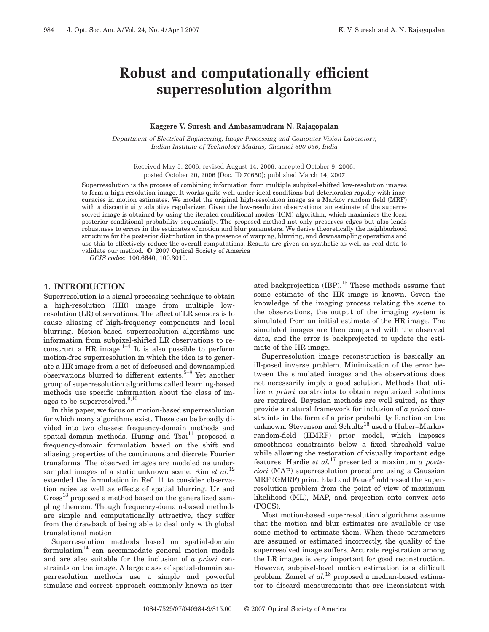# **Robust and computationally efficient superresolution algorithm**

### **Kaggere V. Suresh and Ambasamudram N. Rajagopalan**

*Department of Electrical Engineering, Image Processing and Computer Vision Laboratory, Indian Institute of Technology Madras, Chennai 600 036, India*

Received May 5, 2006; revised August 14, 2006; accepted October 9, 2006; posted October 20, 2006 (Doc. ID 70650); published March 14, 2007

Superresolution is the process of combining information from multiple subpixel-shifted low-resolution images to form a high-resolution image. It works quite well under ideal conditions but deteriorates rapidly with inaccuracies in motion estimates. We model the original high-resolution image as a Markov random field (MRF) with a discontinuity adaptive regularizer. Given the low-resolution observations, an estimate of the superresolved image is obtained by using the iterated conditional modes (ICM) algorithm, which maximizes the local posterior conditional probability sequentially. The proposed method not only preserves edges but also lends robustness to errors in the estimates of motion and blur parameters. We derive theoretically the neighborhood structure for the posterior distribution in the presence of warping, blurring, and downsampling operations and use this to effectively reduce the overall computations. Results are given on synthetic as well as real data to validate our method. © 2007 Optical Society of America

*OCIS codes:* 100.6640, 100.3010.

#### **1. INTRODUCTION**

Superresolution is a signal processing technique to obtain a high-resolution (HR) image from multiple lowresolution (LR) observations. The effect of LR sensors is to cause aliasing of high-frequency components and local blurring. Motion-based superresolution algorithms use information from subpixel-shifted LR observations to reconstruct a HR image. $^{1-4}$  It is also possible to perform motion-free superresolution in which the idea is to generate a HR image from a set of defocused and downsampled observations blurred to different extents.5–8 Yet another group of superresolution algorithms called learning-based methods use specific information about the class of images to be superresolved.<sup>9,10</sup>

In this paper, we focus on motion-based superresolution for which many algorithms exist. These can be broadly divided into two classes: frequency-domain methods and spatial-domain methods. Huang and Tsai<sup>11</sup> proposed a frequency-domain formulation based on the shift and aliasing properties of the continuous and discrete Fourier transforms. The observed images are modeled as undersampled images of a static unknown scene. Kim *et al.*<sup>12</sup> extended the formulation in Ref. 11 to consider observation noise as well as effects of spatial blurring. Ur and  $Gross<sup>13</sup> proposed a method based on the generalized sam$ pling theorem. Though frequency-domain-based methods are simple and computationally attractive, they suffer from the drawback of being able to deal only with global translational motion.

Superresolution methods based on spatial-domain  $formula$ tion<sup>14</sup> can accommodate general motion models and are also suitable for the inclusion of *a priori* constraints on the image. A large class of spatial-domain superresolution methods use a simple and powerful simulate-and-correct approach commonly known as iter-

ated backprojection (IBP).<sup>15</sup> These methods assume that some estimate of the HR image is known. Given the knowledge of the imaging process relating the scene to the observations, the output of the imaging system is simulated from an initial estimate of the HR image. The simulated images are then compared with the observed data, and the error is backprojected to update the estimate of the HR image.

Superresolution image reconstruction is basically an ill-posed inverse problem. Minimization of the error between the simulated images and the observations does not necessarily imply a good solution. Methods that utilize *a priori* constraints to obtain regularized solutions are required. Bayesian methods are well suited, as they provide a natural framework for inclusion of *a priori* constraints in the form of a prior probability function on the unknown. Stevenson and Schultz<sup>16</sup> used a Huber–Markov random-field (HMRF) prior model, which imposes smoothness constraints below a fixed threshold value while allowing the restoration of visually important edge features. Hardie *et al.*<sup>17</sup> presented a maximum *a posteriori* (MAP) superresolution procedure using a Gaussian  $MRF$  (GMRF) prior. Elad and  $Fever<sup>5</sup>$  addressed the superresolution problem from the point of view of maximum likelihood (ML), MAP, and projection onto convex sets (POCS).

Most motion-based superresolution algorithms assume that the motion and blur estimates are available or use some method to estimate them. When these parameters are assumed or estimated incorrectly, the quality of the superresolved image suffers. Accurate registration among the LR images is very important for good reconstruction. However, subpixel-level motion estimation is a difficult problem. Zomet *et al.*<sup>18</sup> proposed a median-based estimator to discard measurements that are inconsistent with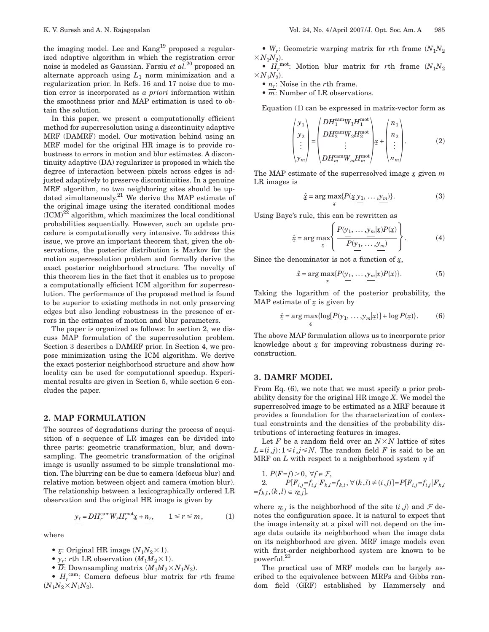the imaging model. Lee and Kang<sup>19</sup> proposed a regularized adaptive algorithm in which the registration error noise is modeled as Gaussian. Farsiu *et al.*<sup>20</sup> proposed an alternate approach using  $L_1$  norm minimization and a regularization prior. In Refs. 16 and 17 noise due to motion error is incorporated as *a priori* information within the smoothness prior and MAP estimation is used to obtain the solution.

In this paper, we present a computationally efficient method for superresolution using a discontinuity adaptive MRF (DAMRF) model. Our motivation behind using an MRF model for the original HR image is to provide robustness to errors in motion and blur estimates. A discontinuity adaptive (DA) regularizer is proposed in which the degree of interaction between pixels across edges is adjusted adaptively to preserve discontinuities. In a genuine MRF algorithm, no two neighboring sites should be updated simultaneously.<sup>21</sup> We derive the MAP estimate of the original image using the iterated conditional modes  $(ICM)^{2\tilde{2}}$  algorithm, which maximizes the local conditional probabilities sequentially. However, such an update procedure is computationally very intensive. To address this issue, we prove an important theorem that, given the observations, the posterior distribution is Markov for the motion superresolution problem and formally derive the exact posterior neighborhood structure. The novelty of this theorem lies in the fact that it enables us to propose a computationally efficient ICM algorithm for superresolution. The performance of the proposed method is found to be superior to existing methods in not only preserving edges but also lending robustness in the presence of errors in the estimates of motion and blur parameters.

The paper is organized as follows: In section 2, we discuss MAP formulation of the superresolution problem. Section 3 describes a DAMRF prior. In Section 4, we propose minimization using the ICM algorithm. We derive the exact posterior neighborhood structure and show how locality can be used for computational speedup. Experimental results are given in Section 5, while section 6 concludes the paper.

### **2. MAP FORMULATION**

The sources of degradations during the process of acquisition of a sequence of LR images can be divided into three parts: geometric transformation, blur, and downsampling. The geometric transformation of the original image is usually assumed to be simple translational motion. The blurring can be due to camera (defocus blur) and relative motion between object and camera (motion blur). The relationship between a lexicographically ordered LR observation and the original HR image is given by

$$
\underline{y_r} = DH_r^{\text{cam}} W_r H_r^{\text{mot}} \underline{x} + \underline{n_r}, \qquad 1 \leq r \leq m, \tag{1}
$$

where

- $\mathfrak{X}$ : Original HR image  $(N_1N_2 \times 1)$ .
- $y_r$ : *r*th LR observation  $(M_1M_2 \times 1)$ .
- $\overline{D}$ : Downsampling matrix  $(M_1M_2 \times N_1N_2)$ .

•  $H_r^{\text{cam}}$ : Camera defocus blur matrix for *r*th frame  $(N_1N_2 \times N_1N_2)$ .

•  $W_r$ : Geometric warping matrix for *r*th frame  $(N_1N_2)$  $\times N_1\!N_2).$ 

• *Hr* mot: Motion blur matrix for *r*th frame *N*1*N*<sup>2</sup>  $\times N_1\!N_2).$ 

- $n_r$ : Noise in the *r*th frame.
- $\overline{m}$ : Number of LR observations.

Equation (1) can be expressed in matrix-vector form as

$$
\begin{pmatrix} y_1 \\ y_2 \\ \vdots \\ y_m \end{pmatrix} = \begin{pmatrix} DH_1^{\text{cam}} W_1 H_1^{\text{mot}} \\ DH_2^{\text{cam}} W_2 H_2^{\text{mot}} \\ \vdots \\ DH_m^{\text{cam}} W_m H_m^{\text{mot}} \end{pmatrix} x + \begin{pmatrix} n_1 \\ n_2 \\ \vdots \\ n_m \end{pmatrix}.
$$
 (2)

The MAP estimate of the superresolved image *x* given *m* LR images is

$$
\hat{\underline{x}} = \arg \max_{\underline{x}} \{ P(\underline{x} | \underline{y}_1, \dots, \underline{y}_m) \}.
$$
 (3)

Using Baye's rule, this can be rewritten as

$$
\hat{\underline{x}} = \arg \max_{\underline{x}} \left\{ \frac{P(\underline{y}_1, \dots, \underline{y}_m | \underline{x}) P(\underline{x})}{P(\underline{y}_1, \dots, \underline{y}_m)} \right\}.
$$
 (4)

Since the denominator is not a function of *x*,

$$
\hat{\underline{x}} = \arg \max_{\underline{x}} \{ P(\underline{y}_1, \dots, \underline{y}_m | \underline{x}) P(\underline{x}) \}.
$$
 (5)

Taking the logarithm of the posterior probability, the MAP estimate of  $x$  is given by

$$
\hat{\underline{x}} = \arg \max_{\underline{x}} \{ \log[P(\underline{y}_1, \dots, \underline{y}_m | \underline{x})] + \log P(\underline{x}) \}. \tag{6}
$$

The above MAP formulation allows us to incorporate prior knowledge about *x* for improving robustness during reconstruction.

# **3. DAMRF MODEL**

From Eq.  $(6)$ , we note that we must specify a prior probability density for the original HR image *X*. We model the superresolved image to be estimated as a MRF because it provides a foundation for the characterization of contextual constraints and the densities of the probability distributions of interacting features in images.

Let  $F$  be a random field over an  $N \times N$  lattice of sites  $L = (i,j): 1 \le i,j \le N$ . The random field *F* is said to be an MRF on  $L$  with respect to a neighborhood system  $\eta$  if

1. 
$$
P(F=f) > 0, \forall f \in \mathcal{F},
$$
  
\n2.  $P[F_{i,j} = f_{i,j} | F_{k,l} = f_{k,l}, \forall (k,l) \neq (i,j)] = P[F_{i,j} = f_{i,j} | F_{k,l} = f_{k,l}, (k,l) \in \eta_{i,j}],$ 

where  $\eta_{i,j}$  is the neighborhood of the site  $(i,j)$  and  $\mathcal F$  denotes the configuration space. It is natural to expect that the image intensity at a pixel will not depend on the image data outside its neighborhood when the image data on its neighborhood are given. MRF image models even with first-order neighborhood system are known to be powerful.23

The practical use of MRF models can be largely ascribed to the equivalence between MRFs and Gibbs random field (GRF) established by Hammersely and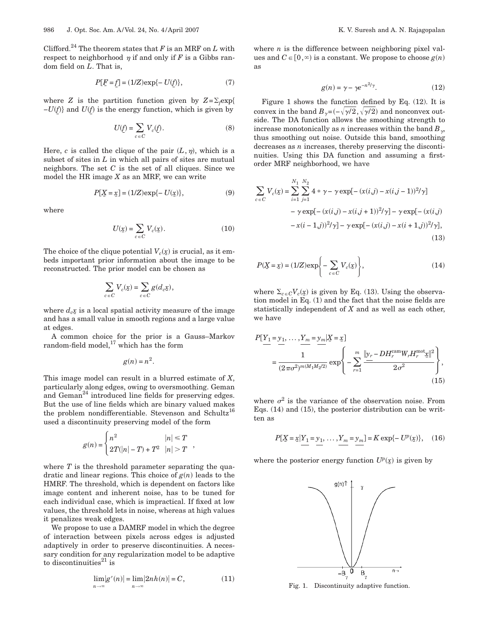Clifford.<sup>24</sup> The theorem states that  $F$  is an MRF on  $L$  with respect to neighborhood  $\eta$  if and only if *F* is a Gibbs random field on *L*. That is,

$$
P[E = f] = (1/Z) \exp\{-U(f)\},\tag{7}
$$

where *Z* is the partition function given by  $Z = \sum_f \exp\{$ *−U*(*f*)} and *U*(*f*) is the energy function, which is given by

$$
U(\underline{f}) = \sum_{c \in C} V_c(\underline{f}).
$$
 (8)

Here,  $c$  is called the clique of the pair  $(L, \eta)$ , which is a subset of sites in *L* in which all pairs of sites are mutual neighbors. The set *C* is the set of all cliques. Since we model the HR image *X* as an MRF, we can write

$$
P[\underline{X} = \underline{x}] = (1/Z) \exp{-U(\underline{x})}, \tag{9}
$$

where

$$
U(\underline{x}) = \sum_{c \in C} V_c(\underline{x}). \tag{10}
$$

The choice of the clique potential  $V_c(\underline{x})$  is crucial, as it embeds important prior information about the image to be reconstructed. The prior model can be chosen as

$$
\sum_{c \in C} V_c(\underline{x}) = \sum_{c \in C} g(d_c \underline{x}),
$$

where  $d_c x$  is a local spatial activity measure of the image and has a small value in smooth regions and a large value at edges.

A common choice for the prior is a Gauss–Markov random-field model, $^{17}$  which has the form

$$
g(n) = n^2.
$$

This image model can result in a blurred estimate of *X*, particularly along edges, owing to oversmoothing. Geman and  $Geman<sup>24</sup>$  introduced line fields for preserving edges. But the use of line fields which are binary valued makes the problem nondifferentiable. Stevenson and Schultz<sup>16</sup> used a discontinuity preserving model of the form

$$
g(n) = \begin{cases} n^2 & |n| \le T \\ 2T(|n| - T) + T^2 & |n| > T \end{cases}
$$

where *T* is the threshold parameter separating the quadratic and linear regions. This choice of  $g(n)$  leads to the HMRF. The threshold, which is dependent on factors like image content and inherent noise, has to be tuned for each individual case, which is impractical. If fixed at low values, the threshold lets in noise, whereas at high values it penalizes weak edges.

We propose to use a DAMRF model in which the degree of interaction between pixels across edges is adjusted adaptively in order to preserve discontinuities. A necessary condition for any regularization model to be adaptive to discontinuities $^{21}$  is

$$
\lim_{n \to \infty} |g'(n)| = \lim_{n \to \infty} |2nh(n)| = C,\tag{11}
$$

where  $n$  is the difference between neighboring pixel values and  $C \in [0,\infty)$  is a constant. We propose to choose  $g(n)$ as

$$
g(n) = \gamma - \gamma e^{-n^2/\gamma}.\tag{12}
$$

Figure 1 shows the function defined by Eq. (12). It is convex in the band  $B_{\gamma} = (-\sqrt{\gamma/2}, \sqrt{\gamma/2})$  and nonconvex outside. The DA function allows the smoothing strength to increase monotonically as *n* increases within the band  $B_{\gamma}$ , thus smoothing out noise. Outside this band, smoothing decreases as *n* increases, thereby preserving the discontinuities. Using this DA function and assuming a firstorder MRF neighborhood, we have

$$
\sum_{c \in C} V_c(\underline{x}) = \sum_{i=1}^{N_1} \sum_{j=1}^{N_2} 4 * \gamma - \gamma \exp[-(x(i,j) - x(i,j-1))^2/\gamma] \n- \gamma \exp[-(x(i,j) - x(i,j+1))^2/\gamma] - \gamma \exp[-(x(i,j) - x(i-1,j))^2/\gamma] - \gamma \exp[-(x(i,j) - x(i+1,j))^2/\gamma],
$$
\n(13)

$$
P(\underline{X} = \underline{x}) = (1/Z) \exp\left\{-\sum_{c \in C} V_c(\underline{x})\right\},\tag{14}
$$

where  $\Sigma_{c\in C}V_c(\underline{x})$  is given by Eq. (13). Using the observation model in Eq. (1) and the fact that the noise fields are statistically independent of *X* and as well as each other, we have

$$
P[Y_1 = y_1, ..., Y_m = y_m | X = x]
$$
  
= 
$$
\frac{1}{(2\pi\sigma^2)^{m(M_1M_2/2)}} \exp\left\{-\sum_{r=1}^m \frac{\|y_r - DH_r^{\text{cam}} W_r H_r^{\text{mot}} x\|^2}{2\sigma^2}\right\},
$$
(15)

where  $\sigma^2$  is the variance of the observation noise. From Eqs. (14) and (15), the posterior distribution can be written as

$$
P[\underline{X} = \underline{x} | \underline{Y_1} = \underline{y_1}, \dots, \underline{Y_m} = \underline{y_m}] = K \exp\{-U^p(\underline{x})\}, \quad (16)
$$

where the posterior energy function  $U^p(x)$  is given by



Fig. 1. Discontinuity adaptive function.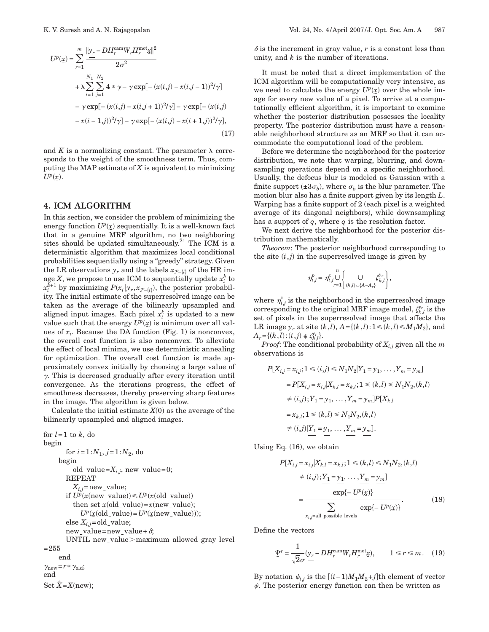$$
U^{p}(\underline{x}) = \sum_{r=1}^{m} \frac{\|y_{r} - DH^{camp}_{r}W_{r}H^{mot}_{r}\underline{x}\|^{2}}{2\sigma^{2}}
$$
  
+  $\lambda \sum_{i=1}^{N_{1}} \sum_{j=1}^{N_{2}} 4 * \gamma - \gamma \exp[-(x(i,j) - x(i,j-1))^{2}/\gamma]$   
-  $\gamma \exp[-(x(i,j) - x(i,j+1))^{2}/\gamma] - \gamma \exp[-(x(i,j) - x(i-1,j))^{2}/\gamma],$   
-  $x(i-1,j))^{2}/\gamma] - \gamma \exp[-(x(i,j) - x(i+1,j))^{2}/\gamma],$  (17)

and  $K$  is a normalizing constant. The parameter  $\lambda$  corresponds to the weight of the smoothness term. Thus, computing the MAP estimate of *X* is equivalent to minimizing  $U^p(\underline{x})$ .

## **4. ICM ALGORITHM**

In this section, we consider the problem of minimizing the energy function  $U^p(\underline{x})$  sequentially. It is a well-known fact that in a genuine MRF algorithm, no two neighboring sites should be updated simultaneously.<sup>21</sup> The ICM is a deterministic algorithm that maximizes local conditional probabilities sequentially using a "greedy" strategy. Given the LR observations  $y_r$  and the labels  $x_{\mathcal{F}-\{i\}}$  of the HR image  $X$ , we propose to use ICM to sequentially update  $x_i^k$  to  $x_i^{k+1}$  by maximizing  $P(x_i|y_r, x_{\mathcal{F}-\{i\}})$ , the posterior probability. The initial estimate of the superresolved image can be taken as the average of the bilinearly upsampled and aligned input images. Each pixel  $x_i^k$  is updated to a new value such that the energy  $U^p(x)$  is minimum over all values of  $x_i$ . Because the DA function (Fig. 1) is nonconvex, the overall cost function is also nonconvex. To alleviate the effect of local minima, we use deterministic annealing for optimization. The overall cost function is made approximately convex initially by choosing a large value of  $\gamma$ . This is decreased gradually after every iteration until convergence. As the iterations progress, the effect of smoothness decreases, thereby preserving sharp features in the image. The algorithm is given below.

Calculate the initial estimate  $X(0)$  as the average of the bilinearly upsampled and aligned images.

for  $l=1$  to  $k$ , do begin for  $i = 1:N_1, j = 1:N_2$ , do begin old\_value= $X_{i,j}$ , new\_value=0; REPEAT  $X_{i,j}$ =new\_value; if  $U^p(x(\text{new_value})) \leq U^p(x(\text{old_value}))$ then set  $x(old_value) = x(new_value);$  $U^p(x(\text{old_value}) = U^p(x(\text{new_value}))),$ else  $X_{i,j}$ = old\_value; new\_value=new\_value+ $\delta$ ; UNTIL new\_value $>$ maximum allowed gray level =255 end

 $\gamma_{\text{new}}=r*\gamma_{\text{old}};$ end Set  $\hat{X} = X$ (new);  $\delta$  is the increment in gray value,  $r$  is a constant less than unity, and *k* is the number of iterations.

It must be noted that a direct implementation of the ICM algorithm will be computationally very intensive, as we need to calculate the energy  $U^p(x)$  over the whole image for every new value of a pixel. To arrive at a computationally efficient algorithm, it is important to examine whether the posterior distribution possesses the locality property. The posterior distribution must have a reasonable neighborhood structure as an MRF so that it can accommodate the computational load of the problem.

Before we determine the neighborhood for the posterior distribution, we note that warping, blurring, and downsampling operations depend on a specific neighborhood. Usually, the defocus blur is modeled as Gaussian with a finite support  $(\pm 3\sigma_b)$ , where  $\sigma_b$  is the blur parameter. The motion blur also has a finite support given by its length *L*. Warping has a finite support of 2 (each pixel is a weighted average of its diagonal neighbors), while downsampling has a support of *q*, where *q* is the resolution factor.

We next derive the neighborhood for the posterior distribution mathematically.

*Theorem*: The posterior neighborhood corresponding to the site  $(i,j)$  in the superresolved image is given by

$$
\eta_{i,j}^p=\eta_{i,j}^x\bigcup_{r=1}^n\left\{\bigcup_{(k,l)\,\in\,\{A-A_r\}}\zeta_{k,l}^{y_r}\right\},
$$

where  $\eta_{i,j}^x$  is the neighborhood in the superresolved image corresponding to the original MRF image model,  $\zeta_{k,l}^{\gamma_r}$  is the set of pixels in the superresolved image that affects the LR image  $y_r$  at site  $(k, l)$ ,  $A = \{(k, l) : 1 \leq k, l\} \leq M_1 M_2\}$ , and  $A_r = \{(k, l) : (i, j) \in \mathcal{L}_{k, l}^{y_r} \}.$ 

*Proof*: The conditional probability of  $X_{i,j}$  given all the *m* observations is

$$
P[X_{i,j} = x_{i,j}; 1 \leq (i,j) \leq N_1 N_2 | Y_1 = y_1, \dots, Y_m = y_m]
$$
  
= 
$$
P[X_{i,j} = x_{i,j} | X_{k,l} = x_{k,l}; 1 \leq (k,l) \leq N_1 N_2, (k,l)
$$
  

$$
\neq (i,j); Y_1 = y_1, \dots, Y_m = y_m] P[X_{k,l}
$$
  
= 
$$
x_{k,l}; 1 \leq (k,l) \leq N_1 N_2, (k,l)
$$
  

$$
\neq (i,j) | Y_1 = y_1, \dots, Y_m = y_m].
$$

Using Eq. (16), we obtain

$$
P[X_{i,j} = x_{i,j} | X_{k,l} = x_{k,l}; 1 \le (k,l) \le N_1 N_2, (k,l)
$$
  
\n
$$
\ne (i,j); Y_1 = y_1, ..., Y_m = y_m]
$$
  
\n
$$
= \frac{\exp\{-U^p(\mathbf{x})\}}{\sum_{x_{i,j} = \text{all possible levels}} \exp\{-U^p(\mathbf{x})\}}.
$$
 (18)

Define the vectors

$$
\Psi' = \frac{1}{\sqrt{2}\sigma} (y_r - DH_r^{\text{cam}} W_r H_r^{\text{mot}} \mathbf{x}), \qquad 1 \le r \le m. \tag{19}
$$

By notation  $\psi_{i,j}$  is the  $[(i-1)M_1M_2+j]$ th element of vector  $\psi$ . The posterior energy function can then be written as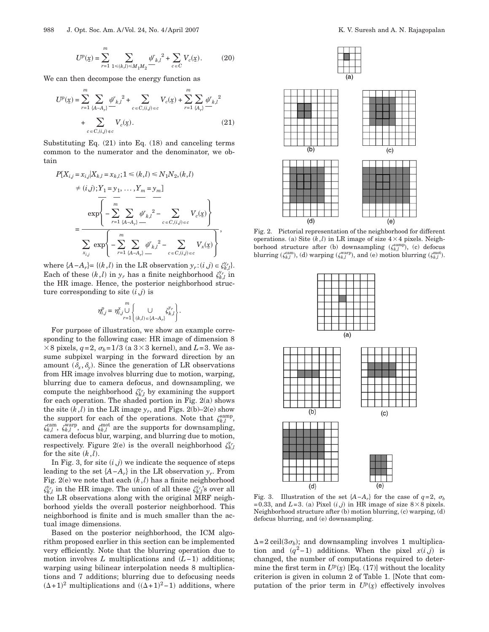$$
U^{p}(\underline{x}) = \sum_{r=1}^{m} \sum_{1 \le (k,l) \le M_1 M_2} \underline{\psi_{k,l}}^2 + \sum_{c \in C} V_c(\underline{x}). \tag{20}
$$

We can then decompose the energy function as

$$
U^{p}(\underline{x}) = \sum_{r=1}^{m} \sum_{\{A-A_{r}\}} \underline{\psi_{k,l}}^{2} + \sum_{c \in C, (i,j) \in c} V_{c}(\underline{x}) + \sum_{r=1}^{m} \sum_{\{A_{r}\}} \underline{\psi_{k,l}}^{2} + \sum_{c \in C, (i,j) \in c} V_{c}(\underline{x}).
$$
\n(21)

Substituting Eq. (21) into Eq. (18) and canceling terms common to the numerator and the denominator, we obtain

$$
P[X_{i,j} = x_{i,j}|X_{k,l} = x_{k,l}; 1 \le (k,l) \le N_1 N_2, (k,l)
$$
  
\n
$$
\ne (i,j); Y_1 = y_1, ..., Y_m = y_m]
$$
  
\n
$$
\frac{1}{\sqrt{m}} \sum_{r=1}^{m} \sum_{\{A-A_r\}} \psi_{k,l}^2 - \sum_{c \in C, (i,j) \in c} V_c(\underline{x})
$$
  
\n
$$
\sum_{x_{i,j}} \exp\left\{-\sum_{r=1}^{m} \sum_{\{A-A_r\}} \psi_{k,l}^2 - \sum_{c \in C, (i,j) \in c} V_x(\underline{x})\right\},
$$

where  $\{A - A_r\}$  =  $\{(k, l)$  in the LR observation  $y_r$ : $(i, j) \in \zeta_{k,l}^{y_r}$ . Each of these  $(k, l)$  in  $y_r$  has a finite neighborhood  $\zeta_{k, l}^{y_r}$  in the HR image. Hence, the posterior neighborhood structure corresponding to site  $(i,j)$  is

$$
\eta_{i,j}^p = \eta_{i,j}^x \bigcup_{r=1}^m \left\{\bigcup_{(k,l) \,\in \,\{A-A_r\}} \zeta_{k,l}^{y_r}\right\}.
$$

For purpose of illustration, we show an example corresponding to the following case: HR image of dimension 8  $\times$  8 pixels, *q*=2,  $\sigma_b$ =1/3 (a 3  $\times$  3 kernel), and *L*=3. We assume subpixel warping in the forward direction by an amount  $(\delta_x, \delta_y)$ . Since the generation of LR observations from HR image involves blurring due to motion, warping, blurring due to camera defocus, and downsampling, we compute the neighborhood  $\zeta_{k,l}^{y_r}$  by examining the support for each operation. The shaded portion in Fig. 2(a) shows the site  $(k, l)$  in the LR image  $y_r$ , and Figs. 2(b)–2(e) show the support for each of the operations. Note that  $\zeta_{k,l}^{\text{samp}}$ ,  $\zeta_{k,l}^{\text{cam}}, \zeta_{k,l}^{\text{warp}},$  and  $\zeta_{k,l}^{\text{mot}}$  are the supports for downsampling, camera defocus blur, warping, and blurring due to motion, respectively. Figure 2(e) is the overall neighborhood  $\zeta_{k,l}^{\gamma_r}$ for the site  $(k, l)$ .

In Fig. 3, for site  $(i, j)$  we indicate the sequence of steps leading to the set  ${A - A_r}$  in the LR observation  $y_r$ . From Fig.  $2(e)$  we note that each  $(k, l)$  has a finite neighborhood  $\zeta_{k,l}^{y_r}$  in the HR image. The union of all these  $\zeta_{k,l}^{y_r}$ 's over all the LR observations along with the original MRF neighborhood yields the overall posterior neighborhood. This neighborhood is finite and is much smaller than the actual image dimensions.

Based on the posterior neighborhood, the ICM algorithm proposed earlier in this section can be implemented very efficiently. Note that the blurring operation due to motion involves *L* multiplications and  $(L-1)$  additions; warping using bilinear interpolation needs 8 multiplications and 7 additions; blurring due to defocusing needs  $(\Delta+1)^2$  multiplications and  $((\Delta+1)^2-1)$  additions, where



Fig. 2. Pictorial representation of the neighborhood for different operations. (a) Site  $(k, l)$  in LR image of size  $4 \times 4$  pixels. Neighborhood structure after (b) downsampling  $(\zeta_{k,l}^{\text{samp}})$ , (c) defocus blurring  $(\zeta_{k,l}^{\text{cam}})$ , (d) warping  $(\zeta_{k,l}^{\text{warp}})$ , and (e) motion blurring  $(\zeta_{k,l}^{\text{mot}})$ .



Fig. 3. Illustration of the set  $\{A-A_r\}$  for the case of  $q=2$ ,  $\sigma_b$ =0.33, and  $L=3$ . (a) Pixel  $(i,j)$  in HR image of size  $8\times 8$  pixels. Neighborhood structure after (b) motion blurring, (c) warping, (d) defocus blurring, and (e) downsampling.

 $\Delta = 2$  ceil(3 $\sigma_b$ ); and downsampling involves 1 multiplication and  $(q^2-1)$  additions. When the pixel  $x(i,j)$  is changed, the number of computations required to determine the first term in  $U^p(x)$  [Eq. (17)] without the locality criterion is given in column 2 of Table 1. [Note that computation of the prior term in  $U^p(x)$  effectively involves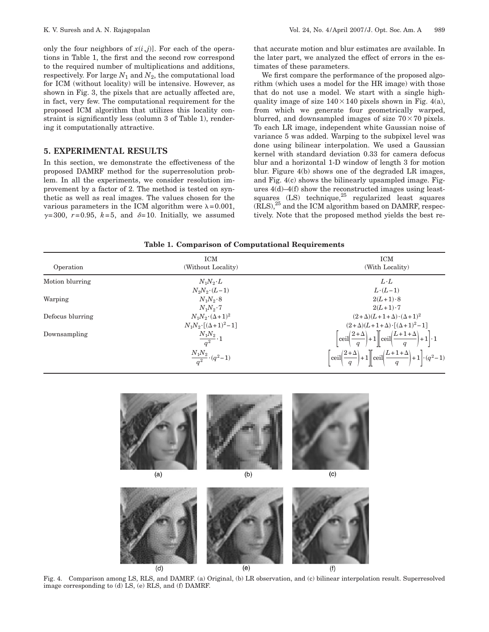only the four neighbors of  $x(i,j)$ . For each of the operations in Table 1, the first and the second row correspond to the required number of multiplications and additions, respectively. For large  $N_1$  and  $N_2$ , the computational load for ICM (without locality) will be intensive. However, as shown in Fig. 3, the pixels that are actually affected are, in fact, very few. The computational requirement for the proposed ICM algorithm that utilizes this locality constraint is significantly less (column 3 of Table 1), rendering it computationally attractive.

## **5. EXPERIMENTAL RESULTS**

In this section, we demonstrate the effectiveness of the proposed DAMRF method for the superresolution problem. In all the experiments, we consider resolution improvement by a factor of 2. The method is tested on synthetic as well as real images. The values chosen for the various parameters in the ICM algorithm were  $\lambda = 0.001$ ,  $\gamma=300$ ,  $r=0.95$ ,  $k=5$ , and  $\delta=10$ . Initially, we assumed that accurate motion and blur estimates are available. In the later part, we analyzed the effect of errors in the estimates of these parameters.

We first compare the performance of the proposed algorithm (which uses a model for the HR image) with those that do not use a model. We start with a single highquality image of size  $140 \times 140$  pixels shown in Fig. 4(a), from which we generate four geometrically warped, blurred, and downsampled images of size  $70\times70$  pixels. To each LR image, independent white Gaussian noise of variance 5 was added. Warping to the subpixel level was done using bilinear interpolation. We used a Gaussian kernel with standard deviation 0.33 for camera defocus blur and a horizontal 1-D window of length 3 for motion blur. Figure 4(b) shows one of the degraded LR images, and Fig. 4(c) shows the bilinearly upsampled image. Figures 4(d)–4(f) show the reconstructed images using leastsquares  $(LS)$  technique, $^{25}$  regularized least squares  $(RLS),^{25}$  and the ICM algorithm based on DAMRF, respectively. Note that the proposed method yields the best re-

**Table 1. Comparison of Computational Requirements**

| Operation        | <b>ICM</b><br>(Without Locality)   | <b>ICM</b><br>(With Locality)                                                                                                                      |
|------------------|------------------------------------|----------------------------------------------------------------------------------------------------------------------------------------------------|
| Motion blurring  | $N_1N_2 \cdot L$                   | $L \cdot L$                                                                                                                                        |
|                  | $N_2N_2 \cdot (L-1)$               | $L \cdot (L-1)$                                                                                                                                    |
| Warping          | $N_1N_2\cdot 8$                    | $2(L+1)\cdot 8$                                                                                                                                    |
|                  | $N_1N_2\cdot 7$                    | $2(L+1)\cdot 7$                                                                                                                                    |
| Defocus blurring | $N_1N_2\cdot(\Delta+1)^2$          | $(2+\Delta)(L+1+\Delta)\cdot(\Delta+1)^2$                                                                                                          |
|                  | $N_1N_2 \cdot [(\Delta+1)^2-1]$    | $(2+\Delta)(L+1+\Delta)\cdot[(\Delta+1)^2-1]$                                                                                                      |
| Downsampling     | $\frac{N_1 N_2}{q^2}\cdot 1$       | $\left[\operatorname{ceil}\left(\frac{2+\Delta}{a}\right)+1\right]\operatorname{ceil}\left(\frac{L+1+\Delta}{a}\right)+1\right]\cdot 1$            |
|                  | $\frac{N_1N_2}{a^2} \cdot (q^2-1)$ | $\left[\operatorname{ceil}\left(\frac{2+\Delta}{q}\right)+1\right]\left[\operatorname{ceil}\left(\frac{L+1+\Delta}{q}\right)+1\right]\cdot(q^2-1)$ |





Fig. 4. Comparison among LS, RLS, and DAMRF. (a) Original, (b) LR observation, and (c) bilinear interpolation result. Superresolved image corresponding to (d) LS, (e) RLS, and (f) DAMRF.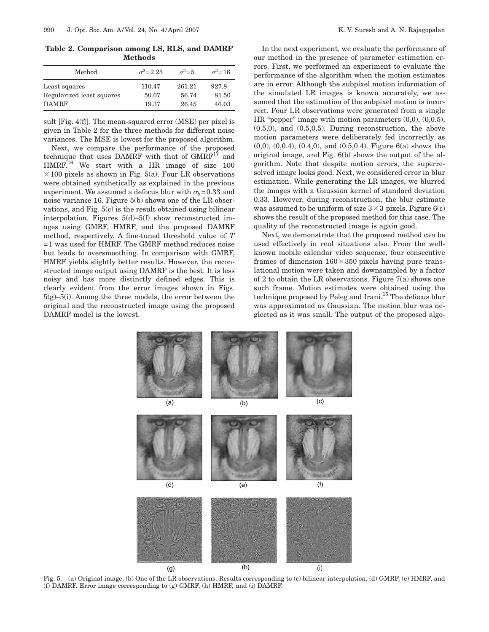**Table 2. Comparison among LS, RLS, and DAMRF Methods**

| Method                    | $\sigma^2 = 2.25$ | $\sigma^2 = 5$ | $\sigma^2$ =16 |
|---------------------------|-------------------|----------------|----------------|
| Least squares             | 110.47            | 261.21         | 927.8          |
| Regularized least squares | 50.07             | 56.74          | 81.50          |
| <b>DAMRF</b>              | 19.37             | 26.45          | 46.03          |

sult [Fig. 4(f)]. The mean-squared error (MSE) per pixel is given in Table 2 for the three methods for different noise variances. The MSE is lowest for the proposed algorithm.

Next, we compare the performance of the proposed technique that uses DAMRF with that of  $GMRF^{17}$  and HMRF.<sup>16</sup> We start with a HR image of size 100  $\times$  100 pixels as shown in Fig. 5(a). Four LR observations were obtained synthetically as explained in the previous experiment. We assumed a defocus blur with  $\sigma_b$ =0.33 and noise variance 16. Figure 5(b) shows one of the LR observations, and Fig. 5(c) is the result obtained using bilinear interpolation. Figures 5(d)–5(f) show reconstructed images using GMRF, HMRF, and the proposed DAMRF method, respectively. A fine-tuned threshold value of *T* =1 was used for HMRF. The GMRF method reduces noise but leads to oversmoothing. In comparison with GMRF, HMRF yields slightly better results. However, the reconstructed image output using DAMRF is the best. It is less noisy and has more distinctly defined edges. This is clearly evident from the error images shown in Figs.  $5(g)$ – $5(i)$ . Among the three models, the error between the original and the reconstructed image using the proposed DAMRF model is the lowest.

In the next experiment, we evaluate the performance of our method in the presence of parameter estimation errors. First, we performed an experiment to evaluate the performance of the algorithm when the motion estimates are in error. Although the subpixel motion information of the simulated LR images is known accurately, we assumed that the estimation of the subpixel motion is incorrect. Four LR observations were generated from a single HR "pepper" image with motion parameters (0,0), (0,0.5), (0.5,0), and (0.5,0.5). During reconstruction, the above motion parameters were deliberately fed incorrectly as (0,0), (0,0.4), (0.4,0), and (0.5,0.4). Figure 6(a) shows the original image, and Fig. 6(b) shows the output of the algorithm. Note that despite motion errors, the superresolved image looks good. Next, we considered error in blur estimation. While generating the LR images, we blurred the images with a Gaussian kernel of standard deviation 0.33. However, during reconstruction, the blur estimate was assumed to be uniform of size  $3\times 3$  pixels. Figure 6(c) shows the result of the proposed method for this case. The quality of the reconstructed image is again good.

Next, we demonstrate that the proposed method can be used effectively in real situations also. From the wellknown mobile calendar video sequence, four consecutive frames of dimension  $160 \times 350$  pixels having pure translational motion were taken and downsampled by a factor of 2 to obtain the LR observations. Figure 7(a) shows one such frame. Motion estimates were obtained using the technique proposed by Peleg and Irani.<sup>15</sup> The defocus blur was approximated as Gaussian. The motion blur was neglected as it was small. The output of the proposed algo-



Fig. 5. (a) Original image. (b) One of the LR observations. Results corresponding to (c) bilinear interpolation, (d) GMRF, (e) HMRF, and (f) DAMRF. Error image corresponding to (g) GMRF, (h) HMRF, and (i) DAMRF.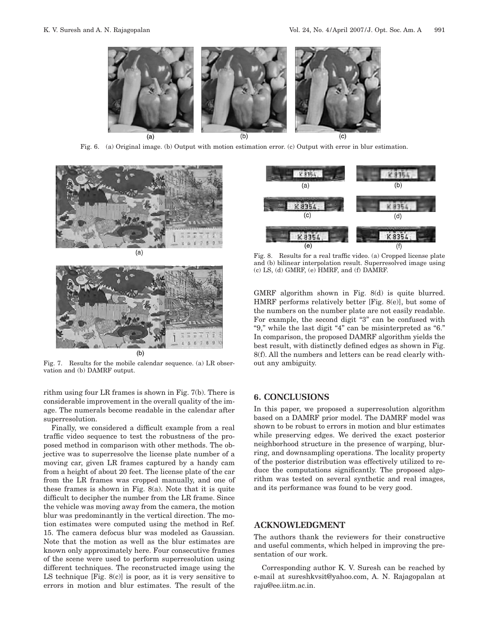

Fig. 6. (a) Original image. (b) Output with motion estimation error. (c) Output with error in blur estimation.





Fig. 7. Results for the mobile calendar sequence. (a) LR observation and (b) DAMRF output.

rithm using four LR frames is shown in Fig. 7(b). There is considerable improvement in the overall quality of the image. The numerals become readable in the calendar after superresolution.

Finally, we considered a difficult example from a real traffic video sequence to test the robustness of the proposed method in comparison with other methods. The objective was to superresolve the license plate number of a moving car, given LR frames captured by a handy cam from a height of about 20 feet. The license plate of the car from the LR frames was cropped manually, and one of these frames is shown in Fig. 8(a). Note that it is quite difficult to decipher the number from the LR frame. Since the vehicle was moving away from the camera, the motion blur was predominantly in the vertical direction. The motion estimates were computed using the method in Ref. 15. The camera defocus blur was modeled as Gaussian. Note that the motion as well as the blur estimates are known only approximately here. Four consecutive frames of the scene were used to perform superresolution using different techniques. The reconstructed image using the LS technique [Fig. 8(c)] is poor, as it is very sensitive to errors in motion and blur estimates. The result of the



Fig. 8. Results for a real traffic video. (a) Cropped license plate and (b) bilinear interpolation result. Superresolved image using (c) LS, (d) GMRF, (e) HMRF, and (f) DAMRF.

GMRF algorithm shown in Fig. 8(d) is quite blurred. HMRF performs relatively better [Fig. 8(e)], but some of the numbers on the number plate are not easily readable. For example, the second digit "3" can be confused with "9," while the last digit "4" can be misinterpreted as "6." In comparison, the proposed DAMRF algorithm yields the best result, with distinctly defined edges as shown in Fig. 8(f). All the numbers and letters can be read clearly without any ambiguity.

# **6. CONCLUSIONS**

In this paper, we proposed a superresolution algorithm based on a DAMRF prior model. The DAMRF model was shown to be robust to errors in motion and blur estimates while preserving edges. We derived the exact posterior neighborhood structure in the presence of warping, blurring, and downsampling operations. The locality property of the posterior distribution was effectively utilized to reduce the computations significantly. The proposed algorithm was tested on several synthetic and real images, and its performance was found to be very good.

# **ACKNOWLEDGMENT**

The authors thank the reviewers for their constructive and useful comments, which helped in improving the presentation of our work.

Corresponding author K. V. Suresh can be reached by e-mail at sureshkvsit@yahoo.com, A. N. Rajagopalan at raju@ee.iitm.ac.in.